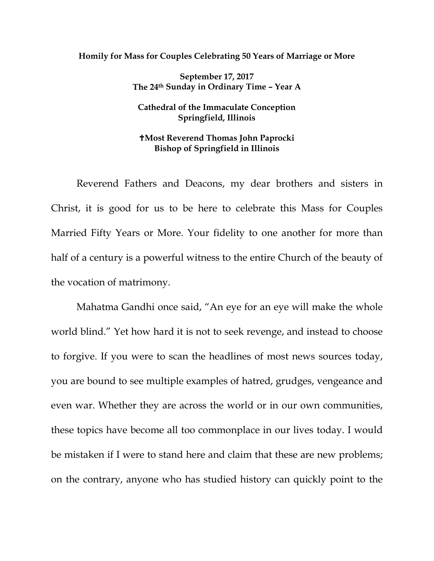## **Homily for Mass for Couples Celebrating 50 Years of Marriage or More**

**September 17, 2017 The 24th Sunday in Ordinary Time – Year A**

## **Cathedral of the Immaculate Conception Springfield, Illinois**

## **Most Reverend Thomas John Paprocki Bishop of Springfield in Illinois**

Reverend Fathers and Deacons, my dear brothers and sisters in Christ, it is good for us to be here to celebrate this Mass for Couples Married Fifty Years or More. Your fidelity to one another for more than half of a century is a powerful witness to the entire Church of the beauty of the vocation of matrimony.

Mahatma Gandhi once said, "An eye for an eye will make the whole world blind." Yet how hard it is not to seek revenge, and instead to choose to forgive. If you were to scan the headlines of most news sources today, you are bound to see multiple examples of hatred, grudges, vengeance and even war. Whether they are across the world or in our own communities, these topics have become all too commonplace in our lives today. I would be mistaken if I were to stand here and claim that these are new problems; on the contrary, anyone who has studied history can quickly point to the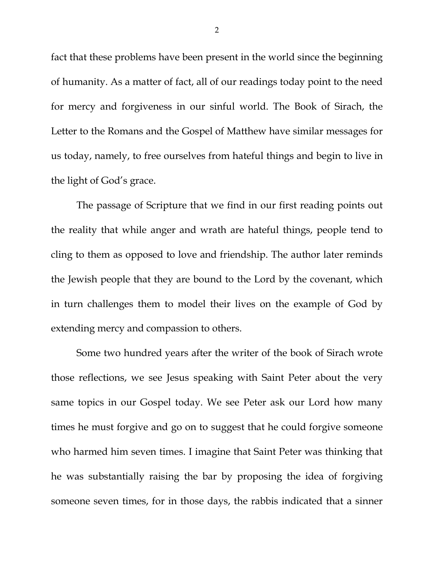fact that these problems have been present in the world since the beginning of humanity. As a matter of fact, all of our readings today point to the need for mercy and forgiveness in our sinful world. The Book of Sirach, the Letter to the Romans and the Gospel of Matthew have similar messages for us today, namely, to free ourselves from hateful things and begin to live in the light of God's grace.

The passage of Scripture that we find in our first reading points out the reality that while anger and wrath are hateful things, people tend to cling to them as opposed to love and friendship. The author later reminds the Jewish people that they are bound to the Lord by the covenant, which in turn challenges them to model their lives on the example of God by extending mercy and compassion to others.

Some two hundred years after the writer of the book of Sirach wrote those reflections, we see Jesus speaking with Saint Peter about the very same topics in our Gospel today. We see Peter ask our Lord how many times he must forgive and go on to suggest that he could forgive someone who harmed him seven times. I imagine that Saint Peter was thinking that he was substantially raising the bar by proposing the idea of forgiving someone seven times, for in those days, the rabbis indicated that a sinner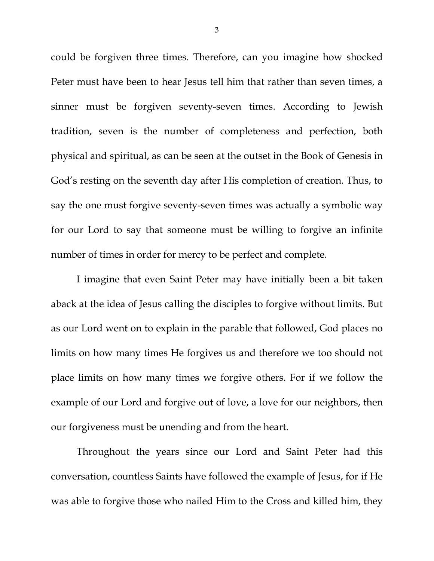could be forgiven three times. Therefore, can you imagine how shocked Peter must have been to hear Jesus tell him that rather than seven times, a sinner must be forgiven seventy-seven times. According to Jewish tradition, seven is the number of completeness and perfection, both physical and spiritual, as can be seen at the outset in the Book of Genesis in God's resting on the seventh day after His completion of creation. Thus, to say the one must forgive seventy-seven times was actually a symbolic way for our Lord to say that someone must be willing to forgive an infinite number of times in order for mercy to be perfect and complete.

I imagine that even Saint Peter may have initially been a bit taken aback at the idea of Jesus calling the disciples to forgive without limits. But as our Lord went on to explain in the parable that followed, God places no limits on how many times He forgives us and therefore we too should not place limits on how many times we forgive others. For if we follow the example of our Lord and forgive out of love, a love for our neighbors, then our forgiveness must be unending and from the heart.

Throughout the years since our Lord and Saint Peter had this conversation, countless Saints have followed the example of Jesus, for if He was able to forgive those who nailed Him to the Cross and killed him, they

3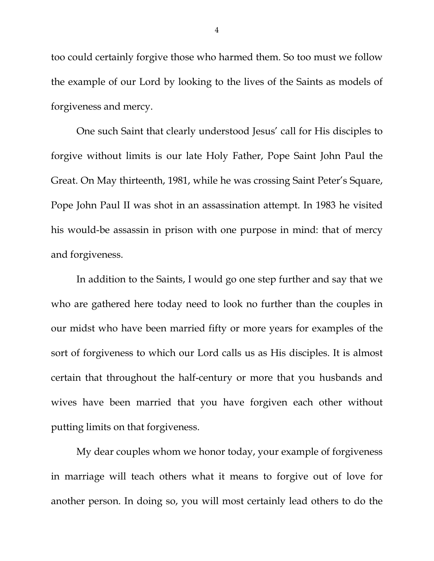too could certainly forgive those who harmed them. So too must we follow the example of our Lord by looking to the lives of the Saints as models of forgiveness and mercy.

One such Saint that clearly understood Jesus' call for His disciples to forgive without limits is our late Holy Father, Pope Saint John Paul the Great. On May thirteenth, 1981, while he was crossing Saint Peter's Square, Pope John Paul II was shot in an assassination attempt. In 1983 he visited his would-be assassin in prison with one purpose in mind: that of mercy and forgiveness.

In addition to the Saints, I would go one step further and say that we who are gathered here today need to look no further than the couples in our midst who have been married fifty or more years for examples of the sort of forgiveness to which our Lord calls us as His disciples. It is almost certain that throughout the half-century or more that you husbands and wives have been married that you have forgiven each other without putting limits on that forgiveness.

My dear couples whom we honor today, your example of forgiveness in marriage will teach others what it means to forgive out of love for another person. In doing so, you will most certainly lead others to do the

4